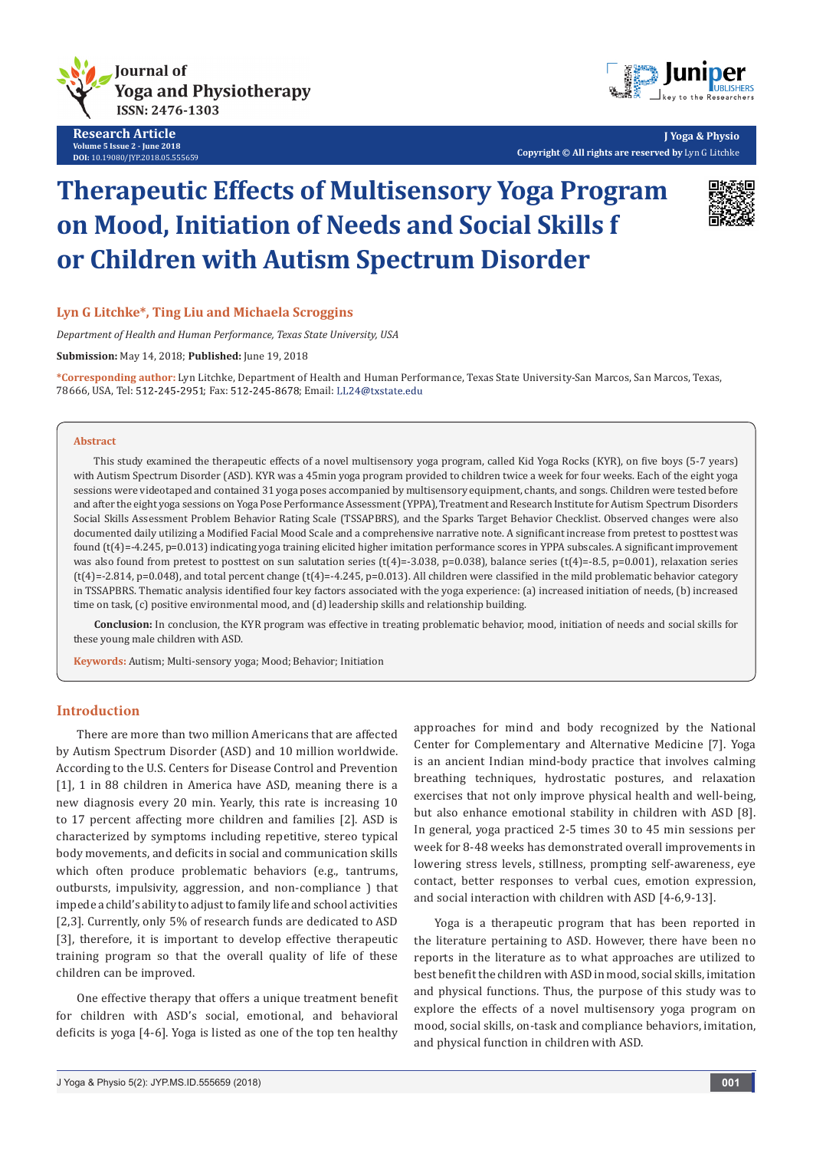

**Research Article Volume 5 Issue 2 - June 2018 DOI:** [10.19080/JYP.2018.05.555659](http://dx.doi.org/10.19080/JYP.2018.05.555659)



**J Yoga & Physio Copyright © All rights are reserved by** Lyn G Litchke

# **Therapeutic Effects of Multisensory Yoga Program on Mood, Initiation of Needs and Social Skills f or Children with Autism Spectrum Disorder**



# **Lyn G Litchke\*, Ting Liu and Michaela Scroggins**

*Department of Health and Human Performance, Texas State University, USA*

**Submission:** May 14, 2018; **Published:** June 19, 2018

**\*Corresponding author:** Lyn Litchke, Department of Health and Human Performance, Texas State University-San Marcos, San Marcos, Texas, 78666, USA, Tel: 512-245-2951; Fax: 512-245-8678; Email: LL24@txstate.edu

## **Abstract**

This study examined the therapeutic effects of a novel multisensory yoga program, called Kid Yoga Rocks (KYR), on five boys (5-7 years) with Autism Spectrum Disorder (ASD). KYR was a 45min yoga program provided to children twice a week for four weeks. Each of the eight yoga sessions were videotaped and contained 31 yoga poses accompanied by multisensory equipment, chants, and songs. Children were tested before and after the eight yoga sessions on Yoga Pose Performance Assessment (YPPA), Treatment and Research Institute for Autism Spectrum Disorders Social Skills Assessment Problem Behavior Rating Scale (TSSAPBRS), and the Sparks Target Behavior Checklist. Observed changes were also documented daily utilizing a Modified Facial Mood Scale and a comprehensive narrative note. A significant increase from pretest to posttest was found (t(4)=-4.245, p=0.013) indicating yoga training elicited higher imitation performance scores in YPPA subscales. A significant improvement was also found from pretest to posttest on sun salutation series (t(4)=-3.038, p=0.038), balance series (t(4)=-8.5, p=0.001), relaxation series (t(4)=-2.814, p=0.048), and total percent change (t(4)=-4.245, p=0.013). All children were classified in the mild problematic behavior category in TSSAPBRS. Thematic analysis identified four key factors associated with the yoga experience: (a) increased initiation of needs, (b) increased time on task, (c) positive environmental mood, and (d) leadership skills and relationship building.

**Conclusion:** In conclusion, the KYR program was effective in treating problematic behavior, mood, initiation of needs and social skills for these young male children with ASD.

**Keywords:** Autism; Multi-sensory yoga; Mood; Behavior; Initiation

# **Introduction**

There are more than two million Americans that are affected by Autism Spectrum Disorder (ASD) and 10 million worldwide. According to the U.S. Centers for Disease Control and Prevention [1], 1 in 88 children in America have ASD, meaning there is a new diagnosis every 20 min. Yearly, this rate is increasing 10 to 17 percent affecting more children and families [2]. ASD is characterized by symptoms including repetitive, stereo typical body movements, and deficits in social and communication skills which often produce problematic behaviors (e.g., tantrums, outbursts, impulsivity, aggression, and non-compliance ) that impede a child's ability to adjust to family life and school activities [2,3]. Currently, only 5% of research funds are dedicated to ASD [3], therefore, it is important to develop effective therapeutic training program so that the overall quality of life of these children can be improved.

One effective therapy that offers a unique treatment benefit for children with ASD's social, emotional, and behavioral deficits is yoga [4-6]. Yoga is listed as one of the top ten healthy

approaches for mind and body recognized by the National Center for Complementary and Alternative Medicine [7]. Yoga is an ancient Indian mind-body practice that involves calming breathing techniques, hydrostatic postures, and relaxation exercises that not only improve physical health and well-being, but also enhance emotional stability in children with ASD [8]. In general, yoga practiced 2-5 times 30 to 45 min sessions per week for 8-48 weeks has demonstrated overall improvements in lowering stress levels, stillness, prompting self-awareness, eye contact, better responses to verbal cues, emotion expression, and social interaction with children with ASD [4-6,9-13].

Yoga is a therapeutic program that has been reported in the literature pertaining to ASD. However, there have been no reports in the literature as to what approaches are utilized to best benefit the children with ASD in mood, social skills, imitation and physical functions. Thus, the purpose of this study was to explore the effects of a novel multisensory yoga program on mood, social skills, on-task and compliance behaviors, imitation, and physical function in children with ASD.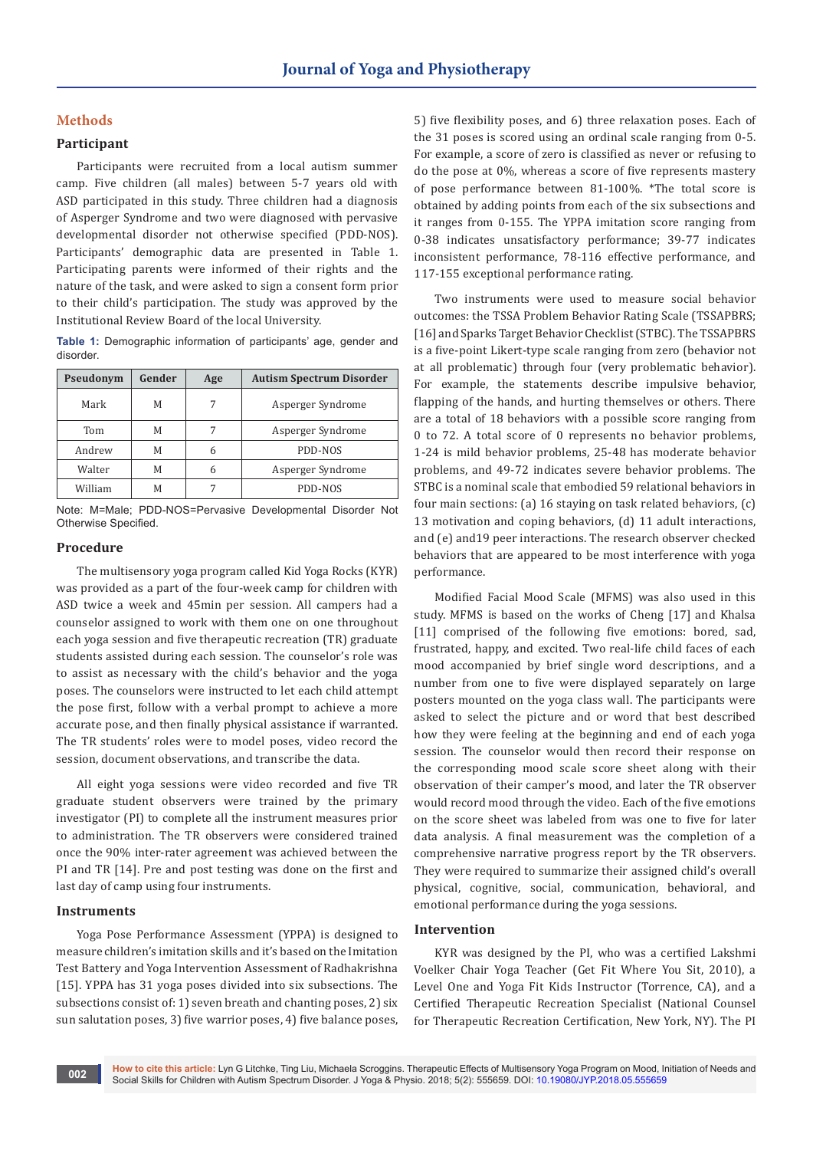# **Methods**

## **Participant**

Participants were recruited from a local autism summer camp. Five children (all males) between 5-7 years old with ASD participated in this study. Three children had a diagnosis of Asperger Syndrome and two were diagnosed with pervasive developmental disorder not otherwise specified (PDD-NOS). Participants' demographic data are presented in Table 1. Participating parents were informed of their rights and the nature of the task, and were asked to sign a consent form prior to their child's participation. The study was approved by the Institutional Review Board of the local University.

**Table 1:** Demographic information of participants' age, gender and disorder.

| Pseudonym | Gender | Age | <b>Autism Spectrum Disorder</b> |  |
|-----------|--------|-----|---------------------------------|--|
| Mark      | М      | 7   | Asperger Syndrome               |  |
| Tom       | М      | 7   | Asperger Syndrome               |  |
| Andrew    | М      | 6   | PDD-NOS                         |  |
| Walter    | М      | 6   | Asperger Syndrome               |  |
| William   | М      | 7   | PDD-NOS                         |  |

Note: M=Male; PDD-NOS=Pervasive Developmental Disorder Not Otherwise Specified.

## **Procedure**

The multisensory yoga program called Kid Yoga Rocks (KYR) was provided as a part of the four-week camp for children with ASD twice a week and 45min per session. All campers had a counselor assigned to work with them one on one throughout each yoga session and five therapeutic recreation (TR) graduate students assisted during each session. The counselor's role was to assist as necessary with the child's behavior and the yoga poses. The counselors were instructed to let each child attempt the pose first, follow with a verbal prompt to achieve a more accurate pose, and then finally physical assistance if warranted. The TR students' roles were to model poses, video record the session, document observations, and transcribe the data.

All eight yoga sessions were video recorded and five TR graduate student observers were trained by the primary investigator (PI) to complete all the instrument measures prior to administration. The TR observers were considered trained once the 90% inter-rater agreement was achieved between the PI and TR [14]. Pre and post testing was done on the first and last day of camp using four instruments.

## **Instruments**

Yoga Pose Performance Assessment (YPPA) is designed to measure children's imitation skills and it's based on the Imitation Test Battery and Yoga Intervention Assessment of Radhakrishna [15]. YPPA has 31 yoga poses divided into six subsections. The subsections consist of: 1) seven breath and chanting poses, 2) six sun salutation poses, 3) five warrior poses, 4) five balance poses,

5) five flexibility poses, and 6) three relaxation poses. Each of the 31 poses is scored using an ordinal scale ranging from 0-5. For example, a score of zero is classified as never or refusing to do the pose at 0%, whereas a score of five represents mastery of pose performance between 81-100%. \*The total score is obtained by adding points from each of the six subsections and it ranges from 0-155. The YPPA imitation score ranging from 0-38 indicates unsatisfactory performance; 39-77 indicates inconsistent performance, 78-116 effective performance, and 117-155 exceptional performance rating.

Two instruments were used to measure social behavior outcomes: the TSSA Problem Behavior Rating Scale (TSSAPBRS; [16] and Sparks Target Behavior Checklist (STBC). The TSSAPBRS is a five-point Likert-type scale ranging from zero (behavior not at all problematic) through four (very problematic behavior). For example, the statements describe impulsive behavior, flapping of the hands, and hurting themselves or others. There are a total of 18 behaviors with a possible score ranging from 0 to 72. A total score of 0 represents no behavior problems, 1-24 is mild behavior problems, 25-48 has moderate behavior problems, and 49-72 indicates severe behavior problems. The STBC is a nominal scale that embodied 59 relational behaviors in four main sections: (a) 16 staying on task related behaviors, (c) 13 motivation and coping behaviors, (d) 11 adult interactions, and (e) and19 peer interactions. The research observer checked behaviors that are appeared to be most interference with yoga performance.

Modified Facial Mood Scale (MFMS) was also used in this study. MFMS is based on the works of Cheng [17] and Khalsa [11] comprised of the following five emotions: bored, sad, frustrated, happy, and excited. Two real-life child faces of each mood accompanied by brief single word descriptions, and a number from one to five were displayed separately on large posters mounted on the yoga class wall. The participants were asked to select the picture and or word that best described how they were feeling at the beginning and end of each yoga session. The counselor would then record their response on the corresponding mood scale score sheet along with their observation of their camper's mood, and later the TR observer would record mood through the video. Each of the five emotions on the score sheet was labeled from was one to five for later data analysis. A final measurement was the completion of a comprehensive narrative progress report by the TR observers. They were required to summarize their assigned child's overall physical, cognitive, social, communication, behavioral, and emotional performance during the yoga sessions.

#### **Intervention**

KYR was designed by the PI, who was a certified Lakshmi Voelker Chair Yoga Teacher (Get Fit Where You Sit, 2010), a Level One and Yoga Fit Kids Instructor (Torrence, CA), and a Certified Therapeutic Recreation Specialist (National Counsel for Therapeutic Recreation Certification, New York, NY). The PI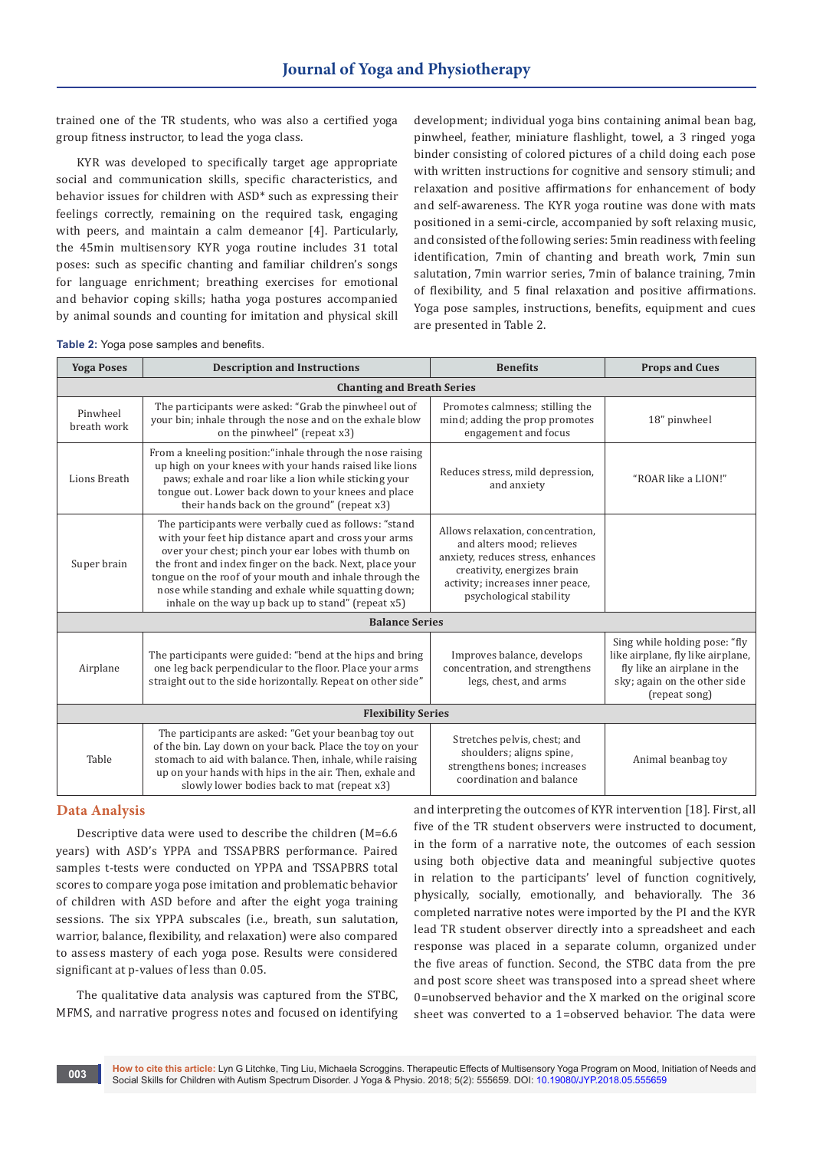trained one of the TR students, who was also a certified yoga group fitness instructor, to lead the yoga class.

KYR was developed to specifically target age appropriate social and communication skills, specific characteristics, and behavior issues for children with ASD\* such as expressing their feelings correctly, remaining on the required task, engaging with peers, and maintain a calm demeanor [4]. Particularly, the 45min multisensory KYR yoga routine includes 31 total poses: such as specific chanting and familiar children's songs for language enrichment; breathing exercises for emotional and behavior coping skills; hatha yoga postures accompanied by animal sounds and counting for imitation and physical skill

development; individual yoga bins containing animal bean bag, pinwheel, feather, miniature flashlight, towel, a 3 ringed yoga binder consisting of colored pictures of a child doing each pose with written instructions for cognitive and sensory stimuli; and relaxation and positive affirmations for enhancement of body and self-awareness. The KYR yoga routine was done with mats positioned in a semi-circle, accompanied by soft relaxing music, and consisted of the following series: 5min readiness with feeling identification, 7min of chanting and breath work, 7min sun salutation, 7min warrior series, 7min of balance training, 7min of flexibility, and 5 final relaxation and positive affirmations. Yoga pose samples, instructions, benefits, equipment and cues are presented in Table 2.

**Table 2:** Yoga pose samples and benefits.

| <b>Yoga Poses</b>                 | <b>Description and Instructions</b>                                                                                                                                                                                                                                                                                                                                                                         | <b>Benefits</b>                                                                                                                                                                                   | <b>Props and Cues</b>                                                                                                                              |  |  |  |
|-----------------------------------|-------------------------------------------------------------------------------------------------------------------------------------------------------------------------------------------------------------------------------------------------------------------------------------------------------------------------------------------------------------------------------------------------------------|---------------------------------------------------------------------------------------------------------------------------------------------------------------------------------------------------|----------------------------------------------------------------------------------------------------------------------------------------------------|--|--|--|
| <b>Chanting and Breath Series</b> |                                                                                                                                                                                                                                                                                                                                                                                                             |                                                                                                                                                                                                   |                                                                                                                                                    |  |  |  |
| Pinwheel<br>breath work           | The participants were asked: "Grab the pinwheel out of<br>your bin; inhale through the nose and on the exhale blow<br>on the pinwheel" (repeat x3)                                                                                                                                                                                                                                                          | Promotes calmness; stilling the<br>mind; adding the prop promotes<br>engagement and focus                                                                                                         | 18" pinwheel                                                                                                                                       |  |  |  |
| Lions Breath                      | From a kneeling position: "inhale through the nose raising<br>up high on your knees with your hands raised like lions<br>paws; exhale and roar like a lion while sticking your<br>tongue out. Lower back down to your knees and place<br>their hands back on the ground" (repeat x3)                                                                                                                        | Reduces stress, mild depression,<br>and anxiety                                                                                                                                                   | "ROAR like a LION!"                                                                                                                                |  |  |  |
| Super brain                       | The participants were verbally cued as follows: "stand<br>with your feet hip distance apart and cross your arms<br>over your chest; pinch your ear lobes with thumb on<br>the front and index finger on the back. Next, place your<br>tongue on the roof of your mouth and inhale through the<br>nose while standing and exhale while squatting down;<br>inhale on the way up back up to stand" (repeat x5) | Allows relaxation, concentration,<br>and alters mood; relieves<br>anxiety, reduces stress, enhances<br>creativity, energizes brain<br>activity; increases inner peace,<br>psychological stability |                                                                                                                                                    |  |  |  |
| <b>Balance Series</b>             |                                                                                                                                                                                                                                                                                                                                                                                                             |                                                                                                                                                                                                   |                                                                                                                                                    |  |  |  |
| Airplane                          | The participants were guided: "bend at the hips and bring<br>one leg back perpendicular to the floor. Place your arms<br>straight out to the side horizontally. Repeat on other side"                                                                                                                                                                                                                       | Improves balance, develops<br>concentration, and strengthens<br>legs, chest, and arms                                                                                                             | Sing while holding pose: "fly<br>like airplane, fly like airplane,<br>fly like an airplane in the<br>sky; again on the other side<br>(repeat song) |  |  |  |
| <b>Flexibility Series</b>         |                                                                                                                                                                                                                                                                                                                                                                                                             |                                                                                                                                                                                                   |                                                                                                                                                    |  |  |  |
| Table                             | The participants are asked: "Get your beanbag toy out<br>of the bin. Lay down on your back. Place the toy on your<br>stomach to aid with balance. Then, inhale, while raising<br>up on your hands with hips in the air. Then, exhale and<br>slowly lower bodies back to mat (repeat x3)                                                                                                                     | Stretches pelvis, chest; and<br>shoulders; aligns spine,<br>strengthens bones; increases<br>coordination and balance                                                                              | Animal beanbag toy                                                                                                                                 |  |  |  |

#### **Data Analysis**

Descriptive data were used to describe the children (M=6.6 years) with ASD's YPPA and TSSAPBRS performance. Paired samples t-tests were conducted on YPPA and TSSAPBRS total scores to compare yoga pose imitation and problematic behavior of children with ASD before and after the eight yoga training sessions. The six YPPA subscales (i.e., breath, sun salutation, warrior, balance, flexibility, and relaxation) were also compared to assess mastery of each yoga pose. Results were considered significant at p-values of less than 0.05.

The qualitative data analysis was captured from the STBC, MFMS, and narrative progress notes and focused on identifying and interpreting the outcomes of KYR intervention [18]. First, all five of the TR student observers were instructed to document, in the form of a narrative note, the outcomes of each session using both objective data and meaningful subjective quotes in relation to the participants' level of function cognitively, physically, socially, emotionally, and behaviorally. The 36 completed narrative notes were imported by the PI and the KYR lead TR student observer directly into a spreadsheet and each response was placed in a separate column, organized under the five areas of function. Second, the STBC data from the pre and post score sheet was transposed into a spread sheet where 0=unobserved behavior and the X marked on the original score sheet was converted to a 1=observed behavior. The data were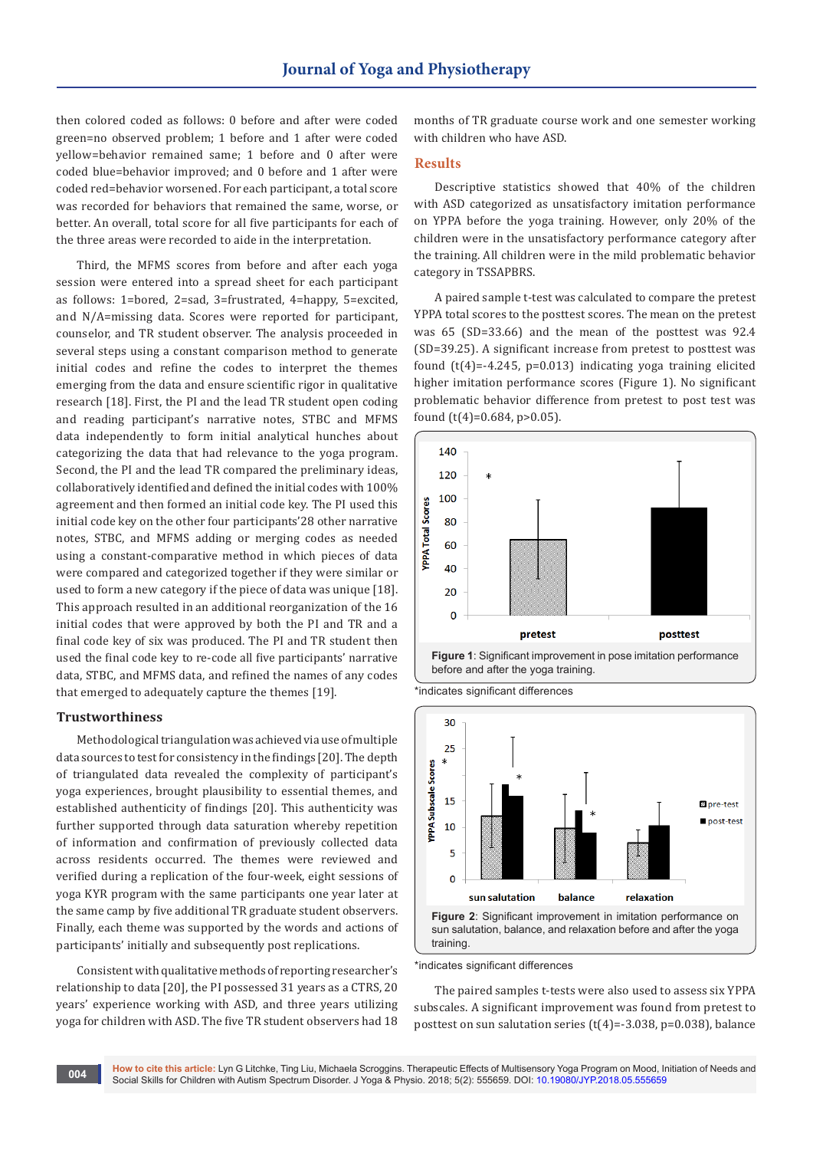then colored coded as follows: 0 before and after were coded green=no observed problem; 1 before and 1 after were coded yellow=behavior remained same; 1 before and 0 after were coded blue=behavior improved; and 0 before and 1 after were coded red=behavior worsened. For each participant, a total score was recorded for behaviors that remained the same, worse, or better. An overall, total score for all five participants for each of the three areas were recorded to aide in the interpretation.

Third, the MFMS scores from before and after each yoga session were entered into a spread sheet for each participant as follows: 1=bored, 2=sad, 3=frustrated, 4=happy, 5=excited, and N/A=missing data. Scores were reported for participant, counselor, and TR student observer. The analysis proceeded in several steps using a constant comparison method to generate initial codes and refine the codes to interpret the themes emerging from the data and ensure scientific rigor in qualitative research [18]. First, the PI and the lead TR student open coding and reading participant's narrative notes, STBC and MFMS data independently to form initial analytical hunches about categorizing the data that had relevance to the yoga program. Second, the PI and the lead TR compared the preliminary ideas, collaboratively identified and defined the initial codes with 100% agreement and then formed an initial code key. The PI used this initial code key on the other four participants'28 other narrative notes, STBC, and MFMS adding or merging codes as needed using a constant-comparative method in which pieces of data were compared and categorized together if they were similar or used to form a new category if the piece of data was unique [18]. This approach resulted in an additional reorganization of the 16 initial codes that were approved by both the PI and TR and a final code key of six was produced. The PI and TR student then used the final code key to re-code all five participants' narrative data, STBC, and MFMS data, and refined the names of any codes that emerged to adequately capture the themes [19].

## **Trustworthiness**

Methodological triangulation was achieved via use of multiple data sources to test for consistency in the findings [20]. The depth of triangulated data revealed the complexity of participant's yoga experiences, brought plausibility to essential themes, and established authenticity of findings [20]. This authenticity was further supported through data saturation whereby repetition of information and confirmation of previously collected data across residents occurred. The themes were reviewed and verified during a replication of the four-week, eight sessions of yoga KYR program with the same participants one year later at the same camp by five additional TR graduate student observers. Finally, each theme was supported by the words and actions of participants' initially and subsequently post replications.

Consistent with qualitative methods of reporting researcher's relationship to data [20], the PI possessed 31 years as a CTRS, 20 years' experience working with ASD, and three years utilizing yoga for children with ASD. The five TR student observers had 18 months of TR graduate course work and one semester working with children who have ASD.

# **Results**

Descriptive statistics showed that 40% of the children with ASD categorized as unsatisfactory imitation performance on YPPA before the yoga training. However, only 20% of the children were in the unsatisfactory performance category after the training. All children were in the mild problematic behavior category in TSSAPBRS.

A paired sample t-test was calculated to compare the pretest YPPA total scores to the posttest scores. The mean on the pretest was 65 (SD=33.66) and the mean of the posttest was 92.4 (SD=39.25). A significant increase from pretest to posttest was found  $(t(4)=-4.245, p=0.013)$  indicating yoga training elicited higher imitation performance scores (Figure 1). No significant problematic behavior difference from pretest to post test was found (t(4)=0.684, p>0.05).







\*indicates significant differences

The paired samples t-tests were also used to assess six YPPA subscales. A significant improvement was found from pretest to posttest on sun salutation series (t(4)=-3.038, p=0.038), balance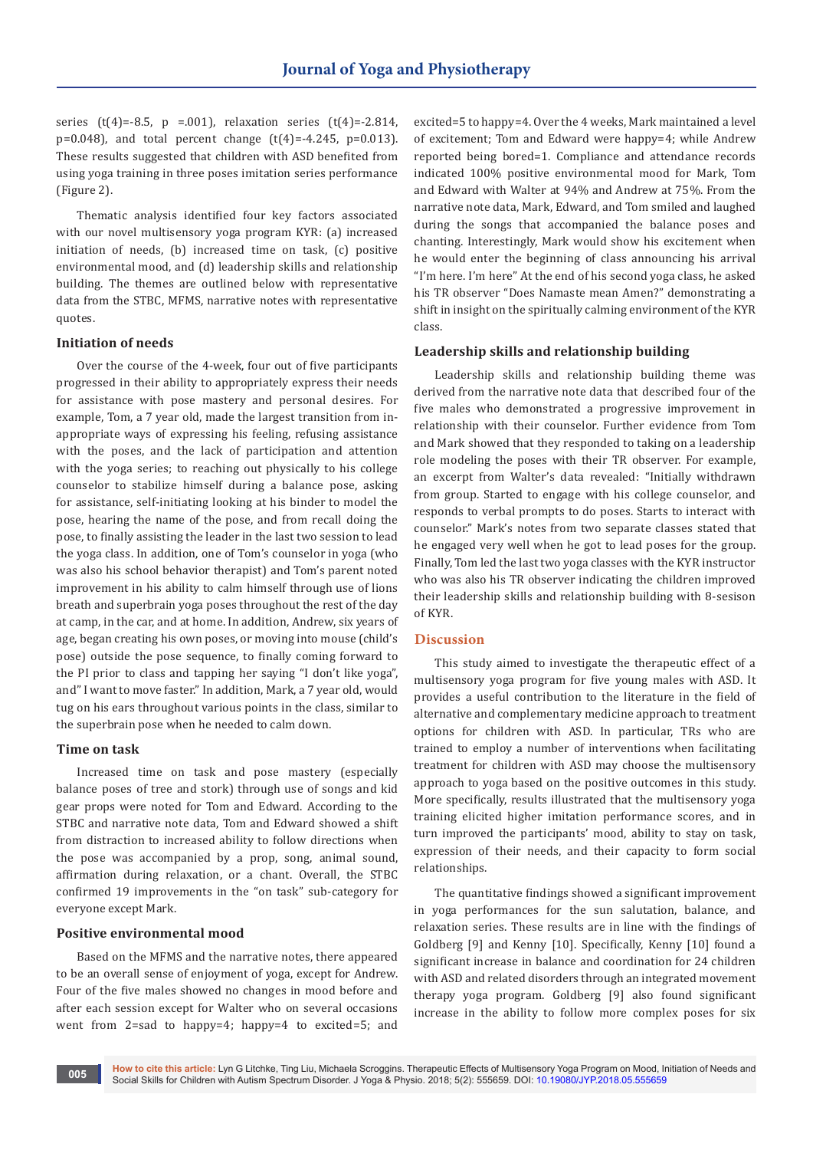series (t(4)=-8.5, p =.001), relaxation series (t(4)=-2.814, p=0.048), and total percent change (t(4)=-4.245, p=0.013). These results suggested that children with ASD benefited from using yoga training in three poses imitation series performance (Figure 2).

Thematic analysis identified four key factors associated with our novel multisensory yoga program KYR: (a) increased initiation of needs, (b) increased time on task, (c) positive environmental mood, and (d) leadership skills and relationship building. The themes are outlined below with representative data from the STBC, MFMS, narrative notes with representative quotes.

## **Initiation of needs**

Over the course of the 4-week, four out of five participants progressed in their ability to appropriately express their needs for assistance with pose mastery and personal desires. For example, Tom, a 7 year old, made the largest transition from inappropriate ways of expressing his feeling, refusing assistance with the poses, and the lack of participation and attention with the yoga series; to reaching out physically to his college counselor to stabilize himself during a balance pose, asking for assistance, self-initiating looking at his binder to model the pose, hearing the name of the pose, and from recall doing the pose, to finally assisting the leader in the last two session to lead the yoga class. In addition, one of Tom's counselor in yoga (who was also his school behavior therapist) and Tom's parent noted improvement in his ability to calm himself through use of lions breath and superbrain yoga poses throughout the rest of the day at camp, in the car, and at home. In addition, Andrew, six years of age, began creating his own poses, or moving into mouse (child's pose) outside the pose sequence, to finally coming forward to the PI prior to class and tapping her saying "I don't like yoga", and" I want to move faster." In addition, Mark, a 7 year old, would tug on his ears throughout various points in the class, similar to the superbrain pose when he needed to calm down.

## **Time on task**

Increased time on task and pose mastery (especially balance poses of tree and stork) through use of songs and kid gear props were noted for Tom and Edward. According to the STBC and narrative note data, Tom and Edward showed a shift from distraction to increased ability to follow directions when the pose was accompanied by a prop, song, animal sound, affirmation during relaxation, or a chant. Overall, the STBC confirmed 19 improvements in the "on task" sub-category for everyone except Mark.

## **Positive environmental mood**

Based on the MFMS and the narrative notes, there appeared to be an overall sense of enjoyment of yoga, except for Andrew. Four of the five males showed no changes in mood before and after each session except for Walter who on several occasions went from 2=sad to happy=4; happy=4 to excited=5; and excited=5 to happy=4. Over the 4 weeks, Mark maintained a level of excitement; Tom and Edward were happy=4; while Andrew reported being bored=1. Compliance and attendance records indicated 100% positive environmental mood for Mark, Tom and Edward with Walter at 94% and Andrew at 75%. From the narrative note data, Mark, Edward, and Tom smiled and laughed during the songs that accompanied the balance poses and chanting. Interestingly, Mark would show his excitement when he would enter the beginning of class announcing his arrival "I'm here. I'm here" At the end of his second yoga class, he asked his TR observer "Does Namaste mean Amen?" demonstrating a shift in insight on the spiritually calming environment of the KYR class.

## **Leadership skills and relationship building**

Leadership skills and relationship building theme was derived from the narrative note data that described four of the five males who demonstrated a progressive improvement in relationship with their counselor. Further evidence from Tom and Mark showed that they responded to taking on a leadership role modeling the poses with their TR observer. For example, an excerpt from Walter's data revealed: "Initially withdrawn from group. Started to engage with his college counselor, and responds to verbal prompts to do poses. Starts to interact with counselor." Mark's notes from two separate classes stated that he engaged very well when he got to lead poses for the group. Finally, Tom led the last two yoga classes with the KYR instructor who was also his TR observer indicating the children improved their leadership skills and relationship building with 8-sesison of KYR.

#### **Discussion**

This study aimed to investigate the therapeutic effect of a multisensory yoga program for five young males with ASD. It provides a useful contribution to the literature in the field of alternative and complementary medicine approach to treatment options for children with ASD. In particular, TRs who are trained to employ a number of interventions when facilitating treatment for children with ASD may choose the multisensory approach to yoga based on the positive outcomes in this study. More specifically, results illustrated that the multisensory yoga training elicited higher imitation performance scores, and in turn improved the participants' mood, ability to stay on task, expression of their needs, and their capacity to form social relationships.

The quantitative findings showed a significant improvement in yoga performances for the sun salutation, balance, and relaxation series. These results are in line with the findings of Goldberg [9] and Kenny [10]. Specifically, Kenny [10] found a significant increase in balance and coordination for 24 children with ASD and related disorders through an integrated movement therapy yoga program. Goldberg [9] also found significant increase in the ability to follow more complex poses for six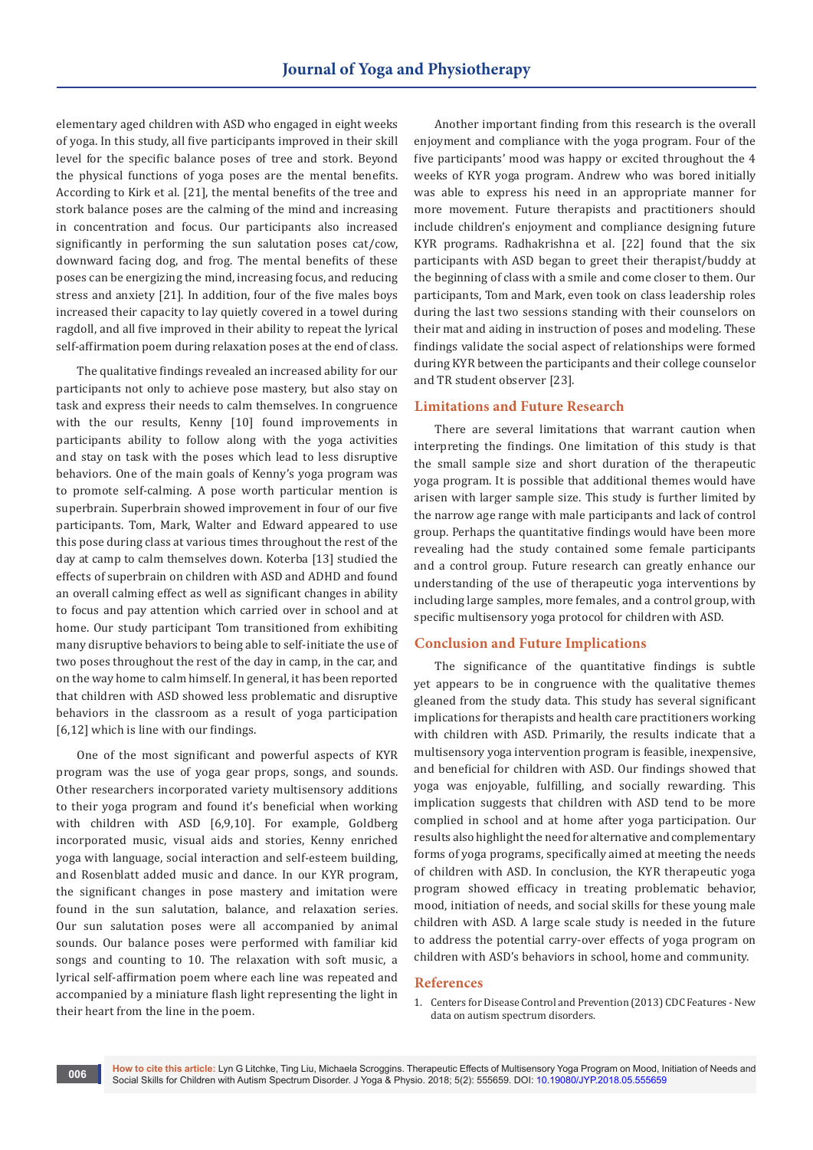elementary aged children with ASD who engaged in eight weeks of yoga. In this study, all five participants improved in their skill level for the specific balance poses of tree and stork. Beyond the physical functions of yoga poses are the mental benefits. According to Kirk et al. [21], the mental benefits of the tree and stork balance poses are the calming of the mind and increasing in concentration and focus. Our participants also increased significantly in performing the sun salutation poses cat/cow, downward facing dog, and frog. The mental benefits of these poses can be energizing the mind, increasing focus, and reducing stress and anxiety [21]. In addition, four of the five males boys increased their capacity to lay quietly covered in a towel during ragdoll, and all five improved in their ability to repeat the lyrical self-affirmation poem during relaxation poses at the end of class.

The qualitative findings revealed an increased ability for our participants not only to achieve pose mastery, but also stay on task and express their needs to calm themselves. In congruence with the our results, Kenny [10] found improvements in participants ability to follow along with the yoga activities and stay on task with the poses which lead to less disruptive behaviors. One of the main goals of Kenny's yoga program was to promote self-calming. A pose worth particular mention is superbrain. Superbrain showed improvement in four of our five participants. Tom, Mark, Walter and Edward appeared to use this pose during class at various times throughout the rest of the day at camp to calm themselves down. Koterba [13] studied the effects of superbrain on children with ASD and ADHD and found an overall calming effect as well as significant changes in ability to focus and pay attention which carried over in school and at home. Our study participant Tom transitioned from exhibiting many disruptive behaviors to being able to self-initiate the use of two poses throughout the rest of the day in camp, in the car, and on the way home to calm himself. In general, it has been reported that children with ASD showed less problematic and disruptive behaviors in the classroom as a result of yoga participation [6,12] which is line with our findings.

One of the most significant and powerful aspects of KYR program was the use of yoga gear props, songs, and sounds. Other researchers incorporated variety multisensory additions to their yoga program and found it's beneficial when working with children with ASD [6,9,10]. For example, Goldberg incorporated music, visual aids and stories, Kenny enriched yoga with language, social interaction and self-esteem building, and Rosenblatt added music and dance. In our KYR program, the significant changes in pose mastery and imitation were found in the sun salutation, balance, and relaxation series. Our sun salutation poses were all accompanied by animal sounds. Our balance poses were performed with familiar kid songs and counting to 10. The relaxation with soft music, a lyrical self-affirmation poem where each line was repeated and accompanied by a miniature flash light representing the light in their heart from the line in the poem.

Another important finding from this research is the overall enjoyment and compliance with the yoga program. Four of the five participants' mood was happy or excited throughout the 4 weeks of KYR yoga program. Andrew who was bored initially was able to express his need in an appropriate manner for more movement. Future therapists and practitioners should include children's enjoyment and compliance designing future KYR programs. Radhakrishna et al. [22] found that the six participants with ASD began to greet their therapist/buddy at the beginning of class with a smile and come closer to them. Our participants, Tom and Mark, even took on class leadership roles during the last two sessions standing with their counselors on their mat and aiding in instruction of poses and modeling. These findings validate the social aspect of relationships were formed during KYR between the participants and their college counselor and TR student observer [23].

## **Limitations and Future Research**

There are several limitations that warrant caution when interpreting the findings. One limitation of this study is that the small sample size and short duration of the therapeutic yoga program. It is possible that additional themes would have arisen with larger sample size. This study is further limited by the narrow age range with male participants and lack of control group. Perhaps the quantitative findings would have been more revealing had the study contained some female participants and a control group. Future research can greatly enhance our understanding of the use of therapeutic yoga interventions by including large samples, more females, and a control group, with specific multisensory yoga protocol for children with ASD.

# **Conclusion and Future Implications**

The significance of the quantitative findings is subtle yet appears to be in congruence with the qualitative themes gleaned from the study data. This study has several significant implications for therapists and health care practitioners working with children with ASD. Primarily, the results indicate that a multisensory yoga intervention program is feasible, inexpensive, and beneficial for children with ASD. Our findings showed that yoga was enjoyable, fulfilling, and socially rewarding. This implication suggests that children with ASD tend to be more complied in school and at home after yoga participation. Our results also highlight the need for alternative and complementary forms of yoga programs, specifically aimed at meeting the needs of children with ASD. In conclusion, the KYR therapeutic yoga program showed efficacy in treating problematic behavior, mood, initiation of needs, and social skills for these young male children with ASD. A large scale study is needed in the future to address the potential carry-over effects of yoga program on children with ASD's behaviors in school, home and community.

#### **References**

1. [Centers for Disease Control and Prevention \(2013\) CDC Features - New](https://www.cdc.gov/features/index.html)  [data on autism spectrum disorders.](https://www.cdc.gov/features/index.html)